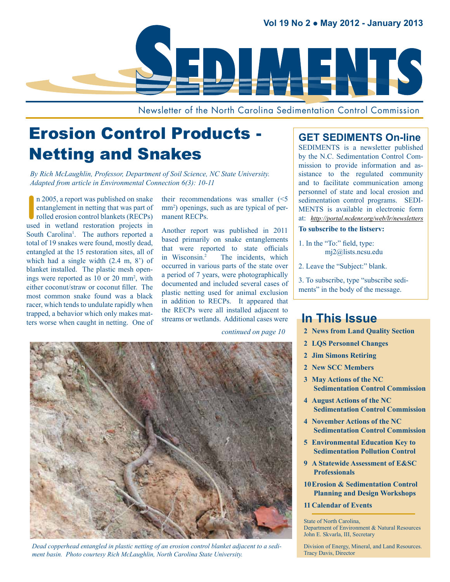

Newsletter of the North Carolina Sedimentation Control Commission

# Erosion Control Products - Netting and Snakes

*By Rich McLaughlin, Professor, Department of Soil Science, NC State University. Adapted from article in Environmental Connection 6(3): 10-11*

In 2005, a report was published on snake<br>
entanglement in netting that was part of<br>
rolled erosion control blankets (RECPs)<br>
used in wetland restoration projects in n 2005, a report was published on snake entanglement in netting that was part of rolled erosion control blankets (RECPs) South Carolina<sup>1</sup>. The authors reported a total of 19 snakes were found, mostly dead, entangled at the 15 restoration sites, all of which had a single width (2.4 m, 8') of blanket installed. The plastic mesh openings were reported as 10 or 20 mm<sup>2</sup>, with either coconut/straw or coconut filler. The most common snake found was a black racer, which tends to undulate rapidly when trapped, a behavior which only makes matters worse when caught in netting. One of

their recommendations was smaller (<5 mm<sup>2</sup>) openings, such as are typical of permanent RECPs.

Another report was published in 2011 based primarily on snake entanglements that were reported to state officials in Wisconsin.2 The incidents, which occurred in various parts of the state over a period of 7 years, were photographically documented and included several cases of plastic netting used for animal exclusion in addition to RECPs. It appeared that the RECPs were all installed adjacent to streams or wetlands. Additional cases were

*continued on page 10*



*Dead copperhead entangled in plastic netting of an erosion control blanket adjacent to a sediment basin. Photo courtesy Rich McLaughlin, North Carolina State University.*

### **GET SEDIMENTS On-line**

SEDIMENTS is a newsletter published by the N.C. Sedimentation Control Commission to provide information and assistance to the regulated community and to facilitate communication among personnel of state and local erosion and sedimentation control programs. SEDI-MENTS is available in electronic form at: *<http://portal.ncdenr.org/web/lr/newsletters>*

#### **To subscribe to the listserv:**

- 1. In the "To:" field, type: [mj2@lists.ncsu.edu](mailto:mj2@lists.ncsu.edu)
- 2. Leave the "Subject:" blank.

3. To subscribe, type "subscribe sediments" in the body of the message.

### **In This Issue**

- **2 [News from Land Quality Section](#page-10-0)**
- **2 [LQS Personnel Changes](#page-10-0)**
- **2 [Jim Simons Retiring](#page-10-0)**
- **2 [New SCC Members](#page-10-0)**
- **3 [May Actions of the NC](#page-10-0)  [Sedimentation Control Commission](#page-10-0)**
- **4 [August Actions of the NC](#page-10-0)  [Sedimentation Control Commission](#page-10-0)**
- **4 [November Actions of the NC](#page-10-0)  [Sedimentation Control Commission](#page-10-0)**
- **5 [Environmental Education Key to](#page-10-0)  [Sedimentation Pollution Control](#page-10-0)**
- **9 [A Statewide Assessment of E&SC](#page-10-0)  [Professionals](#page-10-0)**
- **[10Erosion & Sedimentation Control](#page-10-0)  [Planning and Design Workshops](#page-10-0)**
- **11 [Calendar of Events](#page-10-0)**

State of North Carolina,

Department of Environment & Natural Resources John E. Skvarla, III, Secretary

Division of Energy, Mineral, and Land Resources. Tracy Davis, Director